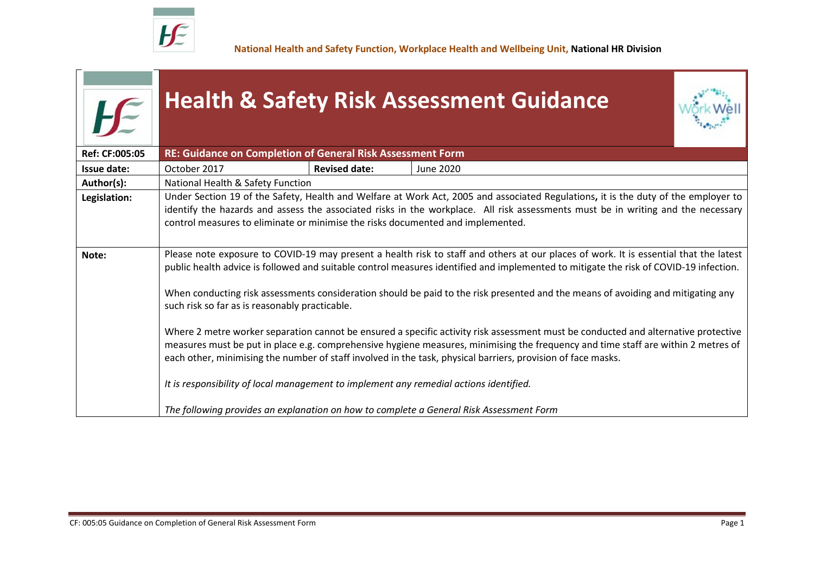

**National Health and Safety Function, Workplace Health and Wellbeing Unit, National HR Division**

| LC<br>Ref: CF:005:05 | <b>Health &amp; Safety Risk Assessment Guidance</b><br>RE: Guidance on Completion of General Risk Assessment Form                                                                                                                                                                                                                                                                       |                      |                                                                                        |  |  |  |  |
|----------------------|-----------------------------------------------------------------------------------------------------------------------------------------------------------------------------------------------------------------------------------------------------------------------------------------------------------------------------------------------------------------------------------------|----------------------|----------------------------------------------------------------------------------------|--|--|--|--|
|                      | October 2017                                                                                                                                                                                                                                                                                                                                                                            | <b>Revised date:</b> | <b>June 2020</b>                                                                       |  |  |  |  |
| <b>Issue date:</b>   |                                                                                                                                                                                                                                                                                                                                                                                         |                      |                                                                                        |  |  |  |  |
| Author(s):           | National Health & Safety Function<br>Under Section 19 of the Safety, Health and Welfare at Work Act, 2005 and associated Regulations, it is the duty of the employer to                                                                                                                                                                                                                 |                      |                                                                                        |  |  |  |  |
| Legislation:         | identify the hazards and assess the associated risks in the workplace. All risk assessments must be in writing and the necessary<br>control measures to eliminate or minimise the risks documented and implemented.                                                                                                                                                                     |                      |                                                                                        |  |  |  |  |
| Note:                | Please note exposure to COVID-19 may present a health risk to staff and others at our places of work. It is essential that the latest<br>public health advice is followed and suitable control measures identified and implemented to mitigate the risk of COVID-19 infection.                                                                                                          |                      |                                                                                        |  |  |  |  |
|                      | When conducting risk assessments consideration should be paid to the risk presented and the means of avoiding and mitigating any<br>such risk so far as is reasonably practicable.                                                                                                                                                                                                      |                      |                                                                                        |  |  |  |  |
|                      | Where 2 metre worker separation cannot be ensured a specific activity risk assessment must be conducted and alternative protective<br>measures must be put in place e.g. comprehensive hygiene measures, minimising the frequency and time staff are within 2 metres of<br>each other, minimising the number of staff involved in the task, physical barriers, provision of face masks. |                      |                                                                                        |  |  |  |  |
|                      |                                                                                                                                                                                                                                                                                                                                                                                         |                      | It is responsibility of local management to implement any remedial actions identified. |  |  |  |  |
|                      | The following provides an explanation on how to complete a General Risk Assessment Form                                                                                                                                                                                                                                                                                                 |                      |                                                                                        |  |  |  |  |